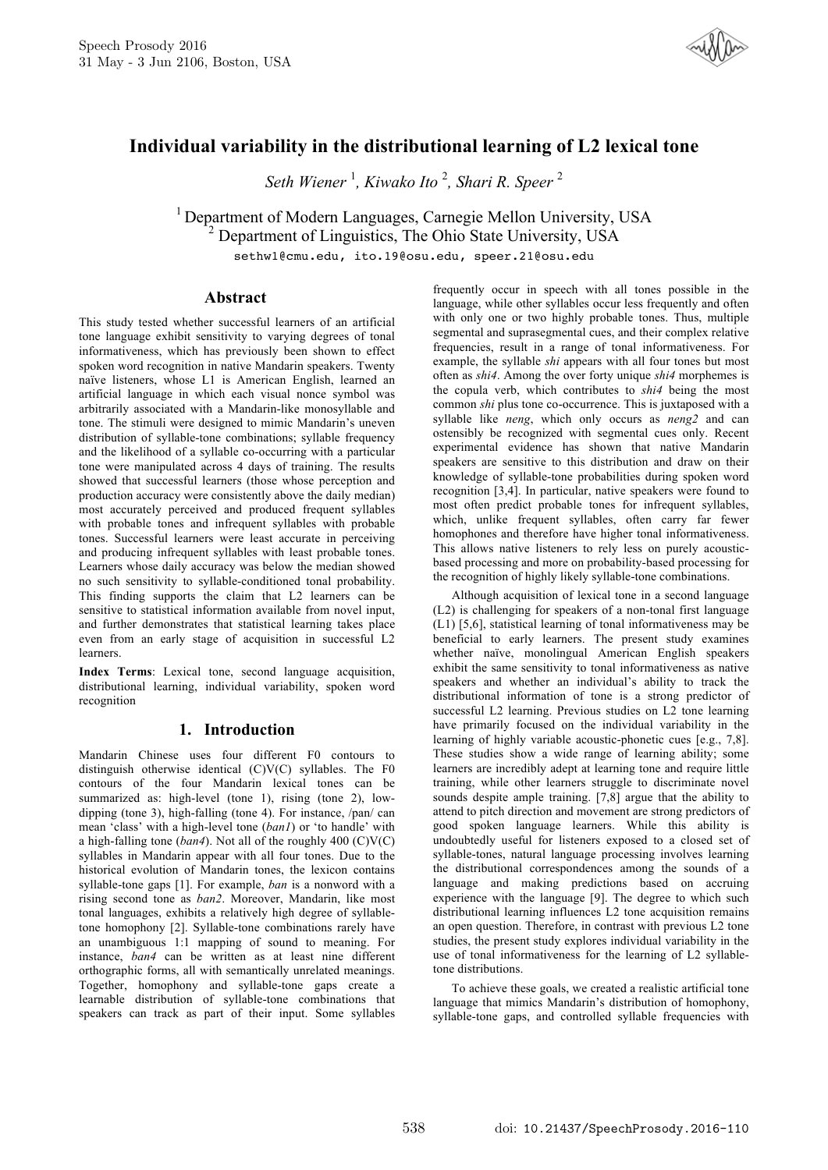

# **Individual variability in the distributional learning of L2 lexical tone**

*Seth Wiener* <sup>1</sup> *, Kiwako Ito* <sup>2</sup> *, Shari R. Speer* <sup>2</sup>

<sup>1</sup> Department of Modern Languages, Carnegie Mellon University, USA <sup>2</sup> Department of Linguistics, The Ohio State University, USA

sethw1@cmu.edu, ito.19@osu.edu, speer.21@osu.edu

### **Abstract**

This study tested whether successful learners of an artificial tone language exhibit sensitivity to varying degrees of tonal informativeness, which has previously been shown to effect spoken word recognition in native Mandarin speakers. Twenty naïve listeners, whose L1 is American English, learned an artificial language in which each visual nonce symbol was arbitrarily associated with a Mandarin-like monosyllable and tone. The stimuli were designed to mimic Mandarin's uneven distribution of syllable-tone combinations; syllable frequency and the likelihood of a syllable co-occurring with a particular tone were manipulated across 4 days of training. The results showed that successful learners (those whose perception and production accuracy were consistently above the daily median) most accurately perceived and produced frequent syllables with probable tones and infrequent syllables with probable tones. Successful learners were least accurate in perceiving and producing infrequent syllables with least probable tones. Learners whose daily accuracy was below the median showed no such sensitivity to syllable-conditioned tonal probability. This finding supports the claim that L2 learners can be sensitive to statistical information available from novel input, and further demonstrates that statistical learning takes place even from an early stage of acquisition in successful L2 learners.

**Index Terms**: Lexical tone, second language acquisition, distributional learning, individual variability, spoken word recognition

# **1. Introduction**

Mandarin Chinese uses four different F0 contours to distinguish otherwise identical (C)V(C) syllables. The F0 contours of the four Mandarin lexical tones can be summarized as: high-level (tone 1), rising (tone 2), lowdipping (tone 3), high-falling (tone 4). For instance, /pan/ can mean 'class' with a high-level tone (*ban1*) or 'to handle' with a high-falling tone (*ban4*). Not all of the roughly 400 (C)V(C) syllables in Mandarin appear with all four tones. Due to the historical evolution of Mandarin tones, the lexicon contains syllable-tone gaps [1]. For example, *ban* is a nonword with a rising second tone as *ban2*. Moreover, Mandarin, like most tonal languages, exhibits a relatively high degree of syllabletone homophony [2]. Syllable-tone combinations rarely have an unambiguous 1:1 mapping of sound to meaning. For instance, *ban4* can be written as at least nine different orthographic forms, all with semantically unrelated meanings. Together, homophony and syllable-tone gaps create a learnable distribution of syllable-tone combinations that speakers can track as part of their input. Some syllables frequently occur in speech with all tones possible in the language, while other syllables occur less frequently and often with only one or two highly probable tones. Thus, multiple segmental and suprasegmental cues, and their complex relative frequencies, result in a range of tonal informativeness. For example, the syllable *shi* appears with all four tones but most often as *shi4*. Among the over forty unique *shi4* morphemes is the copula verb, which contributes to *shi4* being the most common *shi* plus tone co-occurrence. This is juxtaposed with a syllable like *neng*, which only occurs as *neng2* and can ostensibly be recognized with segmental cues only. Recent experimental evidence has shown that native Mandarin speakers are sensitive to this distribution and draw on their knowledge of syllable-tone probabilities during spoken word recognition [3,4]. In particular, native speakers were found to most often predict probable tones for infrequent syllables, which, unlike frequent syllables, often carry far fewer homophones and therefore have higher tonal informativeness. This allows native listeners to rely less on purely acousticbased processing and more on probability-based processing for the recognition of highly likely syllable-tone combinations.

Although acquisition of lexical tone in a second language (L2) is challenging for speakers of a non-tonal first language (L1) [5,6], statistical learning of tonal informativeness may be beneficial to early learners. The present study examines whether naïve, monolingual American English speakers exhibit the same sensitivity to tonal informativeness as native speakers and whether an individual's ability to track the distributional information of tone is a strong predictor of successful L2 learning. Previous studies on L2 tone learning have primarily focused on the individual variability in the learning of highly variable acoustic-phonetic cues [e.g., 7,8]. These studies show a wide range of learning ability; some learners are incredibly adept at learning tone and require little training, while other learners struggle to discriminate novel sounds despite ample training. [7,8] argue that the ability to attend to pitch direction and movement are strong predictors of good spoken language learners. While this ability is undoubtedly useful for listeners exposed to a closed set of syllable-tones, natural language processing involves learning the distributional correspondences among the sounds of a language and making predictions based on accruing experience with the language [9]. The degree to which such distributional learning influences L2 tone acquisition remains an open question. Therefore, in contrast with previous L2 tone studies, the present study explores individual variability in the use of tonal informativeness for the learning of L2 syllabletone distributions.

To achieve these goals, we created a realistic artificial tone language that mimics Mandarin's distribution of homophony, syllable-tone gaps, and controlled syllable frequencies with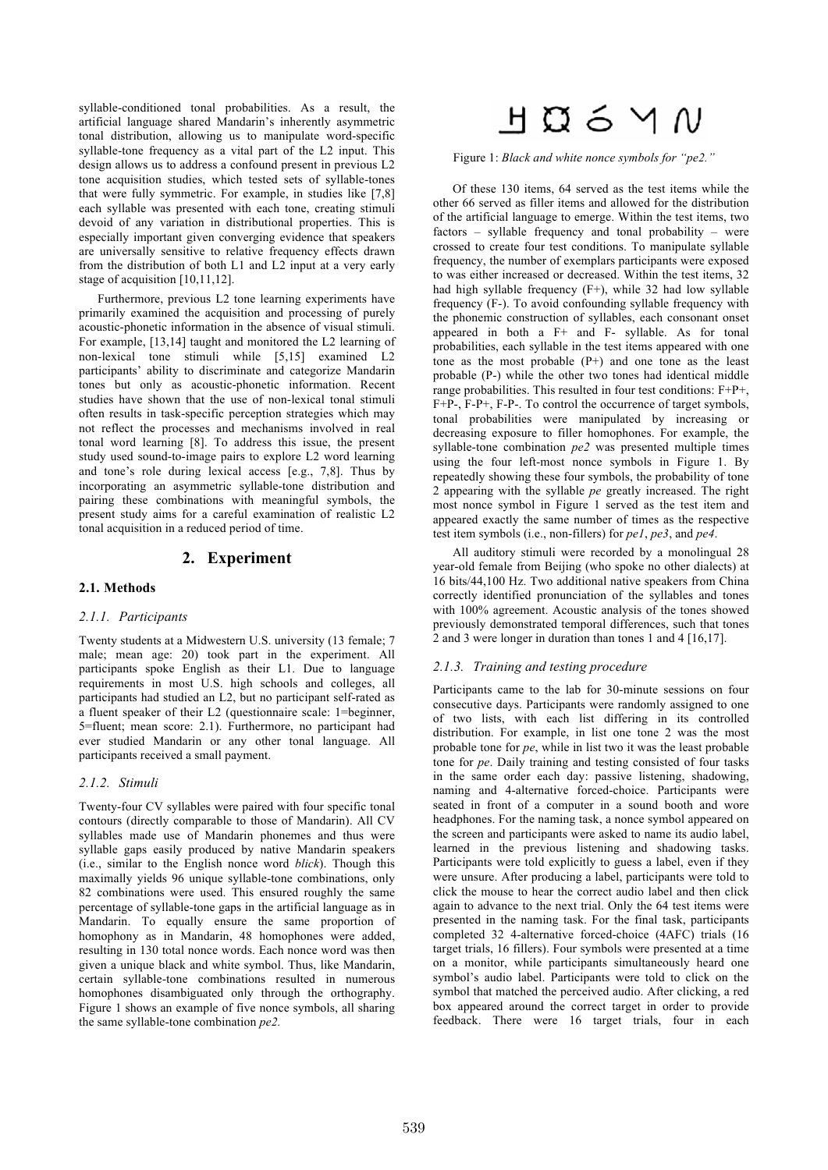syllable-conditioned tonal probabilities. As a result, the artificial language shared Mandarin's inherently asymmetric tonal distribution, allowing us to manipulate word-specific syllable-tone frequency as a vital part of the L2 input. This design allows us to address a confound present in previous L2 tone acquisition studies, which tested sets of syllable-tones that were fully symmetric. For example, in studies like [7,8] each syllable was presented with each tone, creating stimuli devoid of any variation in distributional properties. This is especially important given converging evidence that speakers are universally sensitive to relative frequency effects drawn from the distribution of both L1 and L2 input at a very early stage of acquisition [10,11,12].

Furthermore, previous L2 tone learning experiments have primarily examined the acquisition and processing of purely acoustic-phonetic information in the absence of visual stimuli. For example, [13,14] taught and monitored the L2 learning of non-lexical tone stimuli while [5,15] examined L2 participants' ability to discriminate and categorize Mandarin tones but only as acoustic-phonetic information. Recent studies have shown that the use of non-lexical tonal stimuli often results in task-specific perception strategies which may not reflect the processes and mechanisms involved in real tonal word learning [8]. To address this issue, the present study used sound-to-image pairs to explore L2 word learning and tone's role during lexical access [e.g., 7,8]. Thus by incorporating an asymmetric syllable-tone distribution and pairing these combinations with meaningful symbols, the present study aims for a careful examination of realistic L2 tonal acquisition in a reduced period of time.

## **2. Experiment**

#### **2.1. Methods**

#### *2.1.1. Participants*

Twenty students at a Midwestern U.S. university (13 female; 7 male; mean age: 20) took part in the experiment. All participants spoke English as their L1. Due to language requirements in most U.S. high schools and colleges, all participants had studied an L2, but no participant self-rated as a fluent speaker of their L2 (questionnaire scale: 1=beginner, 5=fluent; mean score: 2.1). Furthermore, no participant had ever studied Mandarin or any other tonal language. All participants received a small payment.

#### *2.1.2. Stimuli*

Twenty-four CV syllables were paired with four specific tonal contours (directly comparable to those of Mandarin). All CV syllables made use of Mandarin phonemes and thus were syllable gaps easily produced by native Mandarin speakers (i.e., similar to the English nonce word *blick*). Though this maximally yields 96 unique syllable-tone combinations, only 82 combinations were used. This ensured roughly the same percentage of syllable-tone gaps in the artificial language as in Mandarin. To equally ensure the same proportion of homophony as in Mandarin, 48 homophones were added, resulting in 130 total nonce words. Each nonce word was then given a unique black and white symbol. Thus, like Mandarin, certain syllable-tone combinations resulted in numerous homophones disambiguated only through the orthography. Figure 1 shows an example of five nonce symbols, all sharing the same syllable-tone combination *pe2.*

# $H$   $\Omega$  6  $\vee$   $N$

Figure 1: *Black and white nonce symbols for "pe2."*

Of these 130 items, 64 served as the test items while the other 66 served as filler items and allowed for the distribution of the artificial language to emerge. Within the test items, two factors – syllable frequency and tonal probability – were crossed to create four test conditions. To manipulate syllable frequency, the number of exemplars participants were exposed to was either increased or decreased. Within the test items, 32 had high syllable frequency (F+), while 32 had low syllable frequency (F-). To avoid confounding syllable frequency with the phonemic construction of syllables, each consonant onset appeared in both a F+ and F- syllable. As for tonal probabilities, each syllable in the test items appeared with one tone as the most probable  $(P+)$  and one tone as the least probable (P-) while the other two tones had identical middle range probabilities. This resulted in four test conditions:  $F+P+$ , F+P-, F-P+, F-P-. To control the occurrence of target symbols, tonal probabilities were manipulated by increasing or decreasing exposure to filler homophones. For example, the syllable-tone combination *pe2* was presented multiple times using the four left-most nonce symbols in Figure 1. By repeatedly showing these four symbols, the probability of tone 2 appearing with the syllable *pe* greatly increased. The right most nonce symbol in Figure 1 served as the test item and appeared exactly the same number of times as the respective test item symbols (i.e., non-fillers) for *pe1*, *pe3*, and *pe4*.

All auditory stimuli were recorded by a monolingual 28 year-old female from Beijing (who spoke no other dialects) at 16 bits/44,100 Hz. Two additional native speakers from China correctly identified pronunciation of the syllables and tones with 100% agreement. Acoustic analysis of the tones showed previously demonstrated temporal differences, such that tones 2 and 3 were longer in duration than tones 1 and 4 [16,17].

#### *2.1.3. Training and testing procedure*

Participants came to the lab for 30-minute sessions on four consecutive days. Participants were randomly assigned to one of two lists, with each list differing in its controlled distribution. For example, in list one tone 2 was the most probable tone for *pe*, while in list two it was the least probable tone for *pe*. Daily training and testing consisted of four tasks in the same order each day: passive listening, shadowing, naming and 4-alternative forced-choice. Participants were seated in front of a computer in a sound booth and wore headphones. For the naming task, a nonce symbol appeared on the screen and participants were asked to name its audio label, learned in the previous listening and shadowing tasks. Participants were told explicitly to guess a label, even if they were unsure. After producing a label, participants were told to click the mouse to hear the correct audio label and then click again to advance to the next trial. Only the 64 test items were presented in the naming task. For the final task, participants completed 32 4-alternative forced-choice (4AFC) trials (16 target trials, 16 fillers). Four symbols were presented at a time on a monitor, while participants simultaneously heard one symbol's audio label. Participants were told to click on the symbol that matched the perceived audio. After clicking, a red box appeared around the correct target in order to provide feedback. There were 16 target trials, four in each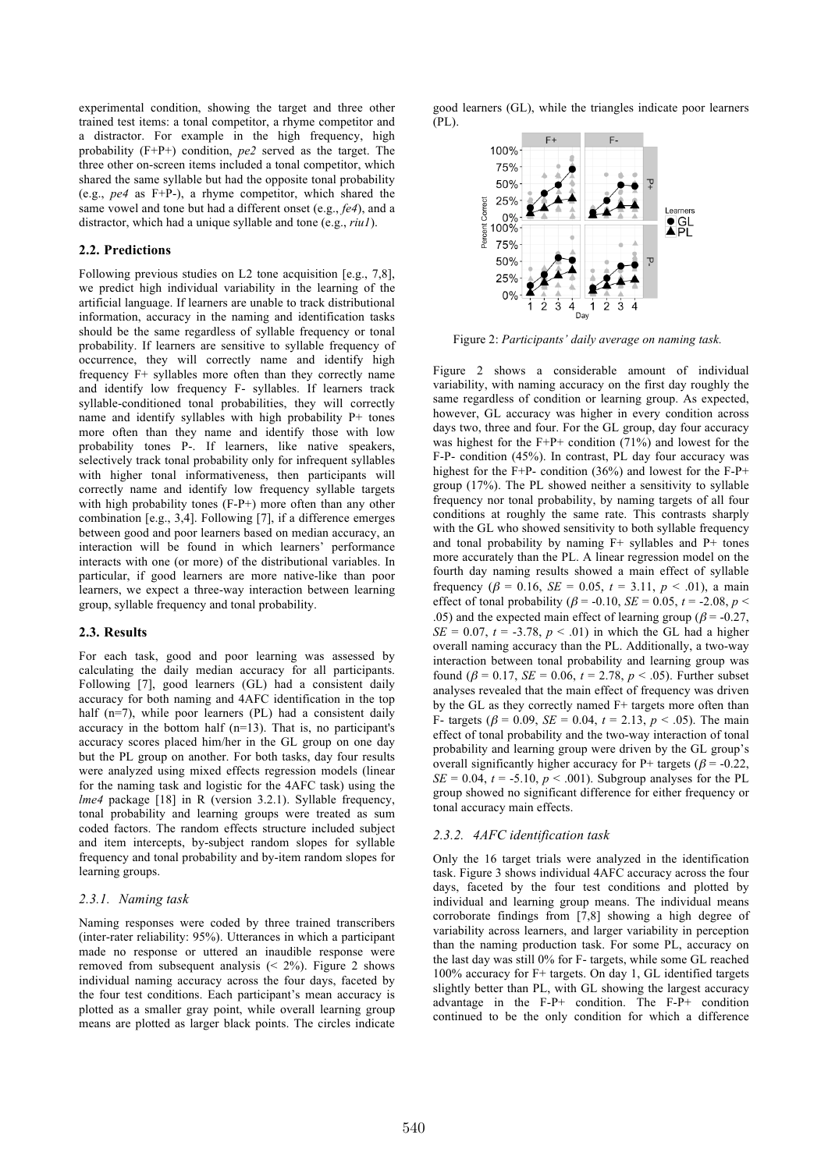experimental condition, showing the target and three other trained test items: a tonal competitor, a rhyme competitor and a distractor. For example in the high frequency, high probability (F+P+) condition, *pe2* served as the target. The three other on-screen items included a tonal competitor, which shared the same syllable but had the opposite tonal probability (e.g., *pe4* as F+P-), a rhyme competitor, which shared the same vowel and tone but had a different onset (e.g., *fe4*), and a distractor, which had a unique syllable and tone (e.g., *riu1*).

#### **2.2. Predictions**

Following previous studies on L2 tone acquisition [e.g., 7,8], we predict high individual variability in the learning of the artificial language. If learners are unable to track distributional information, accuracy in the naming and identification tasks should be the same regardless of syllable frequency or tonal probability. If learners are sensitive to syllable frequency of occurrence, they will correctly name and identify high frequency F+ syllables more often than they correctly name and identify low frequency F- syllables. If learners track syllable-conditioned tonal probabilities, they will correctly name and identify syllables with high probability P+ tones more often than they name and identify those with low probability tones P-. If learners, like native speakers, selectively track tonal probability only for infrequent syllables with higher tonal informativeness, then participants will correctly name and identify low frequency syllable targets with high probability tones (F-P+) more often than any other combination [e.g., 3,4]. Following [7], if a difference emerges between good and poor learners based on median accuracy, an interaction will be found in which learners' performance interacts with one (or more) of the distributional variables. In particular, if good learners are more native-like than poor learners, we expect a three-way interaction between learning group, syllable frequency and tonal probability.

#### **2.3. Results**

For each task, good and poor learning was assessed by calculating the daily median accuracy for all participants. Following [7], good learners (GL) had a consistent daily accuracy for both naming and 4AFC identification in the top half (n=7), while poor learners (PL) had a consistent daily accuracy in the bottom half (n=13). That is, no participant's accuracy scores placed him/her in the GL group on one day but the PL group on another. For both tasks, day four results were analyzed using mixed effects regression models (linear for the naming task and logistic for the 4AFC task) using the *lme4* package [18] in R (version 3.2.1). Syllable frequency, tonal probability and learning groups were treated as sum coded factors. The random effects structure included subject and item intercepts, by-subject random slopes for syllable frequency and tonal probability and by-item random slopes for learning groups.

#### *2.3.1. Naming task*

Naming responses were coded by three trained transcribers (inter-rater reliability: 95%). Utterances in which a participant made no response or uttered an inaudible response were removed from subsequent analysis  $( $2\%$ )$ . Figure 2 shows individual naming accuracy across the four days, faceted by the four test conditions. Each participant's mean accuracy is plotted as a smaller gray point, while overall learning group means are plotted as larger black points. The circles indicate good learners (GL), while the triangles indicate poor learners (PL).



Figure 2: *Participants' daily average on naming task.*

Figure 2 shows a considerable amount of individual variability, with naming accuracy on the first day roughly the same regardless of condition or learning group. As expected, however, GL accuracy was higher in every condition across days two, three and four. For the GL group, day four accuracy was highest for the  $F+P+$  condition (71%) and lowest for the F-P- condition (45%). In contrast, PL day four accuracy was highest for the F+P- condition (36%) and lowest for the F-P+ group (17%). The PL showed neither a sensitivity to syllable frequency nor tonal probability, by naming targets of all four conditions at roughly the same rate. This contrasts sharply with the GL who showed sensitivity to both syllable frequency and tonal probability by naming  $F+$  syllables and  $P+$  tones more accurately than the PL. A linear regression model on the fourth day naming results showed a main effect of syllable frequency ( $\beta = 0.16$ , *SE* = 0.05,  $t = 3.11$ ,  $p < .01$ ), a main effect of tonal probability ( $\beta$  = -0.10, *SE* = 0.05, *t* = -2.08, *p* < .05) and the expected main effect of learning group ( $\beta$  = -0.27,  $SE = 0.07$ ,  $t = -3.78$ ,  $p < .01$ ) in which the GL had a higher overall naming accuracy than the PL. Additionally, a two-way interaction between tonal probability and learning group was found ( $\beta = 0.17$ ,  $SE = 0.06$ ,  $t = 2.78$ ,  $p < .05$ ). Further subset analyses revealed that the main effect of frequency was driven by the GL as they correctly named F+ targets more often than F- targets ( $\beta$  = 0.09, *SE* = 0.04,  $t$  = 2.13,  $p$  < .05). The main effect of tonal probability and the two-way interaction of tonal probability and learning group were driven by the GL group's overall significantly higher accuracy for P+ targets ( $\beta$  = -0.22,  $SE = 0.04$ ,  $t = -5.10$ ,  $p < .001$ ). Subgroup analyses for the PL group showed no significant difference for either frequency or tonal accuracy main effects.

#### *2.3.2. 4AFC identification task*

Only the 16 target trials were analyzed in the identification task. Figure 3 shows individual 4AFC accuracy across the four days, faceted by the four test conditions and plotted by individual and learning group means. The individual means corroborate findings from [7,8] showing a high degree of variability across learners, and larger variability in perception than the naming production task. For some PL, accuracy on the last day was still 0% for F- targets, while some GL reached 100% accuracy for F+ targets. On day 1, GL identified targets slightly better than PL, with GL showing the largest accuracy advantage in the F-P+ condition. The F-P+ condition continued to be the only condition for which a difference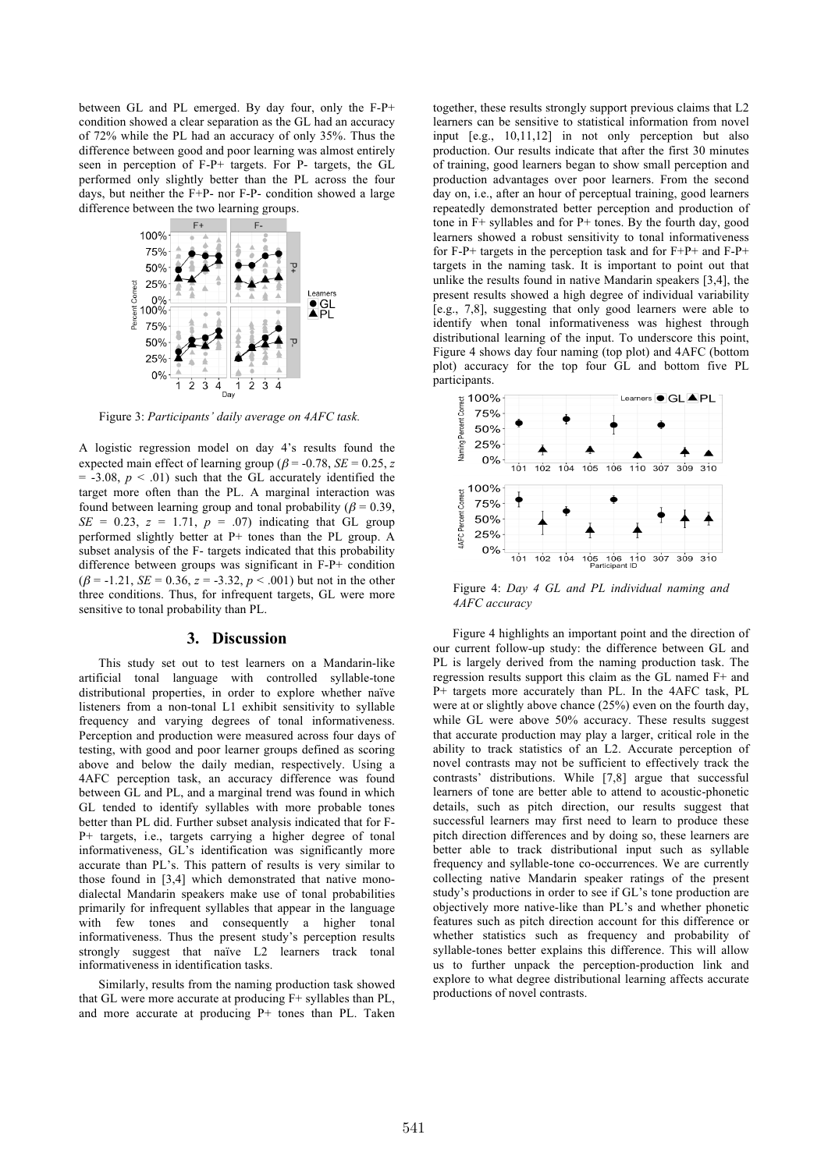between GL and PL emerged. By day four, only the F-P+ condition showed a clear separation as the GL had an accuracy of 72% while the PL had an accuracy of only 35%. Thus the difference between good and poor learning was almost entirely seen in perception of F-P+ targets. For P- targets, the GL performed only slightly better than the PL across the four days, but neither the F+P- nor F-P- condition showed a large difference between the two learning groups.



Figure 3: *Participants' daily average on 4AFC task.*

A logistic regression model on day 4's results found the expected main effect of learning group ( $\beta$  = -0.78, *SE* = 0.25, *z*  $= -3.08, p \leq .01$ ) such that the GL accurately identified the target more often than the PL. A marginal interaction was found between learning group and tonal probability ( $\beta$  = 0.39,  $SE = 0.23$ ,  $z = 1.71$ ,  $p = .07$ ) indicating that GL group performed slightly better at P+ tones than the PL group. A subset analysis of the F- targets indicated that this probability difference between groups was significant in F-P+ condition  $(\beta = -1.21, \, SE = 0.36, \, z = -3.32, \, p < .001)$  but not in the other three conditions. Thus, for infrequent targets, GL were more sensitive to tonal probability than PL.

#### **3. Discussion**

This study set out to test learners on a Mandarin-like artificial tonal language with controlled syllable-tone distributional properties, in order to explore whether naïve listeners from a non-tonal L1 exhibit sensitivity to syllable frequency and varying degrees of tonal informativeness. Perception and production were measured across four days of testing, with good and poor learner groups defined as scoring above and below the daily median, respectively. Using a 4AFC perception task, an accuracy difference was found between GL and PL, and a marginal trend was found in which GL tended to identify syllables with more probable tones better than PL did. Further subset analysis indicated that for F-P+ targets, i.e., targets carrying a higher degree of tonal informativeness, GL's identification was significantly more accurate than PL's. This pattern of results is very similar to those found in [3,4] which demonstrated that native monodialectal Mandarin speakers make use of tonal probabilities primarily for infrequent syllables that appear in the language with few tones and consequently a higher tonal informativeness. Thus the present study's perception results strongly suggest that naïve L2 learners track tonal informativeness in identification tasks.

Similarly, results from the naming production task showed that GL were more accurate at producing F+ syllables than PL, and more accurate at producing P+ tones than PL. Taken together, these results strongly support previous claims that L2 learners can be sensitive to statistical information from novel input [e.g., 10,11,12] in not only perception but also production. Our results indicate that after the first 30 minutes of training, good learners began to show small perception and production advantages over poor learners. From the second day on, i.e., after an hour of perceptual training, good learners repeatedly demonstrated better perception and production of tone in F+ syllables and for P+ tones. By the fourth day, good learners showed a robust sensitivity to tonal informativeness for F-P+ targets in the perception task and for F+P+ and F-P+ targets in the naming task. It is important to point out that unlike the results found in native Mandarin speakers [3,4], the present results showed a high degree of individual variability [e.g., 7,8], suggesting that only good learners were able to identify when tonal informativeness was highest through distributional learning of the input. To underscore this point, Figure 4 shows day four naming (top plot) and 4AFC (bottom plot) accuracy for the top four GL and bottom five PL participants.



Figure 4: *Day 4 GL and PL individual naming and 4AFC accuracy*

Figure 4 highlights an important point and the direction of our current follow-up study: the difference between GL and PL is largely derived from the naming production task. The regression results support this claim as the GL named F+ and P+ targets more accurately than PL. In the 4AFC task, PL were at or slightly above chance (25%) even on the fourth day, while GL were above 50% accuracy. These results suggest that accurate production may play a larger, critical role in the ability to track statistics of an L2. Accurate perception of novel contrasts may not be sufficient to effectively track the contrasts' distributions. While [7,8] argue that successful learners of tone are better able to attend to acoustic-phonetic details, such as pitch direction, our results suggest that successful learners may first need to learn to produce these pitch direction differences and by doing so, these learners are better able to track distributional input such as syllable frequency and syllable-tone co-occurrences. We are currently collecting native Mandarin speaker ratings of the present study's productions in order to see if GL's tone production are objectively more native-like than PL's and whether phonetic features such as pitch direction account for this difference or whether statistics such as frequency and probability of syllable-tones better explains this difference. This will allow us to further unpack the perception-production link and explore to what degree distributional learning affects accurate productions of novel contrasts.